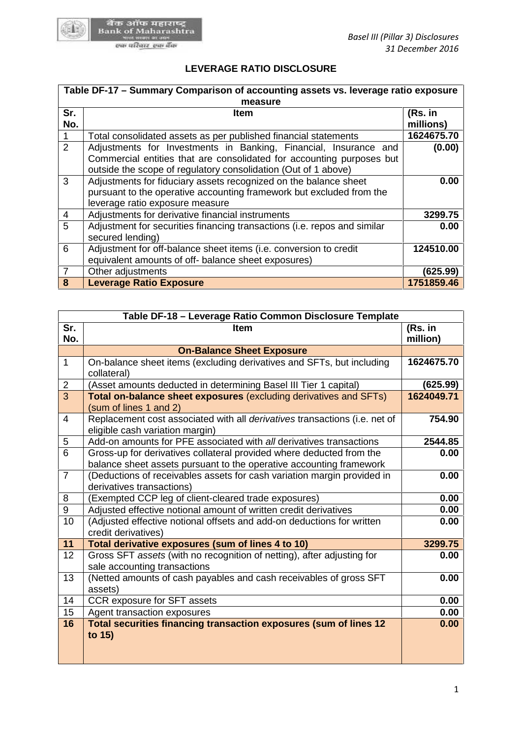

## **LEVERAGE RATIO DISCLOSURE**

|                | Table DF-17 - Summary Comparison of accounting assets vs. leverage ratio exposure                                                                                                                           |                      |
|----------------|-------------------------------------------------------------------------------------------------------------------------------------------------------------------------------------------------------------|----------------------|
| Sr.<br>No.     | measure<br>Item                                                                                                                                                                                             | (Rs. in<br>millions) |
|                | Total consolidated assets as per published financial statements                                                                                                                                             | 1624675.70           |
| 2              | Adjustments for Investments in Banking, Financial, Insurance and<br>Commercial entities that are consolidated for accounting purposes but<br>outside the scope of regulatory consolidation (Out of 1 above) | (0.00)               |
| 3              | Adjustments for fiduciary assets recognized on the balance sheet<br>pursuant to the operative accounting framework but excluded from the<br>leverage ratio exposure measure                                 | 0.00                 |
| 4              | Adjustments for derivative financial instruments                                                                                                                                                            | 3299.75              |
| 5              | Adjustment for securities financing transactions (i.e. repos and similar<br>secured lending)                                                                                                                | 0.00                 |
| 6              | Adjustment for off-balance sheet items (i.e. conversion to credit<br>equivalent amounts of off- balance sheet exposures)                                                                                    | 124510.00            |
| $\overline{7}$ | Other adjustments                                                                                                                                                                                           | (625.99)             |
| 8              | <b>Leverage Ratio Exposure</b>                                                                                                                                                                              | 1751859.46           |

| Table DF-18 - Leverage Ratio Common Disclosure Template |                                                                                                                                             |                     |
|---------------------------------------------------------|---------------------------------------------------------------------------------------------------------------------------------------------|---------------------|
| Sr.<br>No.                                              | <b>Item</b>                                                                                                                                 | (Rs. in<br>million) |
|                                                         | <b>On-Balance Sheet Exposure</b>                                                                                                            |                     |
| $\mathbf{1}$                                            | On-balance sheet items (excluding derivatives and SFTs, but including<br>collateral)                                                        | 1624675.70          |
| $\overline{2}$                                          | (Asset amounts deducted in determining Basel III Tier 1 capital)                                                                            | (625.99)            |
| $\overline{3}$                                          | Total on-balance sheet exposures (excluding derivatives and SFTs)<br>(sum of lines 1 and 2)                                                 | 1624049.71          |
| $\overline{4}$                                          | Replacement cost associated with all derivatives transactions (i.e. net of<br>eligible cash variation margin)                               | 754.90              |
| 5                                                       | Add-on amounts for PFE associated with all derivatives transactions                                                                         | 2544.85             |
| 6                                                       | Gross-up for derivatives collateral provided where deducted from the<br>balance sheet assets pursuant to the operative accounting framework | 0.00                |
| $\overline{7}$                                          | (Deductions of receivables assets for cash variation margin provided in<br>derivatives transactions)                                        | 0.00                |
| 8                                                       | (Exempted CCP leg of client-cleared trade exposures)                                                                                        | 0.00                |
| $\boldsymbol{9}$                                        | Adjusted effective notional amount of written credit derivatives                                                                            | 0.00                |
| 10                                                      | (Adjusted effective notional offsets and add-on deductions for written<br>credit derivatives)                                               | 0.00                |
| 11                                                      | Total derivative exposures (sum of lines 4 to 10)                                                                                           | 3299.75             |
| 12                                                      | Gross SFT assets (with no recognition of netting), after adjusting for<br>sale accounting transactions                                      | 0.00                |
| 13                                                      | (Netted amounts of cash payables and cash receivables of gross SFT<br>assets)                                                               | 0.00                |
| 14                                                      | CCR exposure for SFT assets                                                                                                                 | 0.00                |
| 15                                                      | Agent transaction exposures                                                                                                                 | 0.00                |
| 16                                                      | Total securities financing transaction exposures (sum of lines 12<br>to 15)                                                                 | 0.00                |